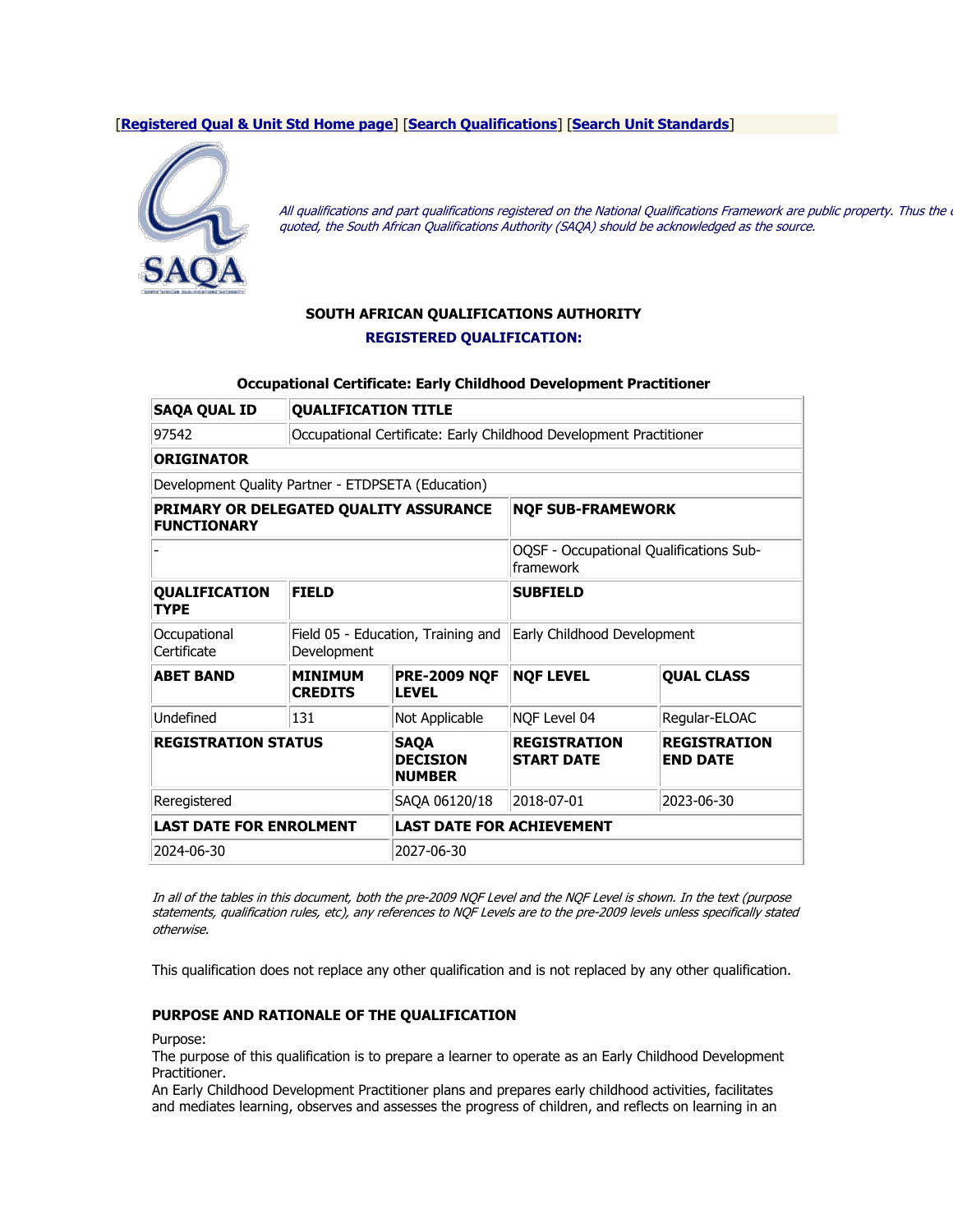### [**[Registered Qual & Unit Std Home page](https://regqs.saqa.org.za/index.php)**] [**[Search Qualifications](https://regqs.saqa.org.za/search.php?cat=qual)**] [**[Search Unit Standards](https://regqs.saqa.org.za/search.php?cat=unit)**]



All qualifications and part qualifications registered on the National Qualifications Framework are public property. Thus the quoted, the South African Qualifications Authority (SAQA) should be acknowledged as the source.

# **SOUTH AFRICAN QUALIFICATIONS AUTHORITY REGISTERED QUALIFICATION:**

### **Occupational Certificate: Early Childhood Development Practitioner**

| <b>SAQA QUAL ID</b>                                          | <b>QUALIFICATION TITLE</b>                                         |                                                 |                                                      |                                        |
|--------------------------------------------------------------|--------------------------------------------------------------------|-------------------------------------------------|------------------------------------------------------|----------------------------------------|
| 97542                                                        | Occupational Certificate: Early Childhood Development Practitioner |                                                 |                                                      |                                        |
| <b>ORIGINATOR</b>                                            |                                                                    |                                                 |                                                      |                                        |
| Development Quality Partner - ETDPSETA (Education)           |                                                                    |                                                 |                                                      |                                        |
| PRIMARY OR DELEGATED QUALITY ASSURANCE<br><b>FUNCTIONARY</b> |                                                                    |                                                 | <b>NQF SUB-FRAMEWORK</b>                             |                                        |
|                                                              |                                                                    |                                                 | OQSF - Occupational Qualifications Sub-<br>framework |                                        |
| <b>QUALIFICATION</b><br><b>TYPE</b>                          | <b>FIELD</b>                                                       |                                                 | <b>SUBFIELD</b>                                      |                                        |
| Occupational<br>Certificate                                  | Field 05 - Education, Training and<br>Development                  |                                                 | Early Childhood Development                          |                                        |
| <b>ABET BAND</b>                                             | <b>MINIMUM</b><br><b>CREDITS</b>                                   | <b>PRE-2009 NQF</b><br><b>LEVEL</b>             | <b>NQF LEVEL</b>                                     | <b>QUAL CLASS</b>                      |
| Undefined                                                    | 131                                                                | Not Applicable                                  | NQF Level 04                                         | Regular-ELOAC                          |
| <b>REGISTRATION STATUS</b>                                   |                                                                    | <b>SAQA</b><br><b>DECISION</b><br><b>NUMBER</b> | <b>REGISTRATION</b><br><b>START DATE</b>             | <b>REGISTRATION</b><br><b>END DATE</b> |
| Reregistered                                                 |                                                                    | SAQA 06120/18                                   | 2018-07-01                                           | 2023-06-30                             |
| <b>LAST DATE FOR ENROLMENT</b>                               |                                                                    | <b>LAST DATE FOR ACHIEVEMENT</b>                |                                                      |                                        |
| 2024-06-30                                                   |                                                                    | 2027-06-30                                      |                                                      |                                        |

In all of the tables in this document, both the pre-2009 NQF Level and the NQF Level is shown. In the text (purpose statements, qualification rules, etc), any references to NQF Levels are to the pre-2009 levels unless specifically stated otherwise.

This qualification does not replace any other qualification and is not replaced by any other qualification.

### **PURPOSE AND RATIONALE OF THE QUALIFICATION**

Purpose:

The purpose of this qualification is to prepare a learner to operate as an Early Childhood Development Practitioner.

An Early Childhood Development Practitioner plans and prepares early childhood activities, facilitates and mediates learning, observes and assesses the progress of children, and reflects on learning in an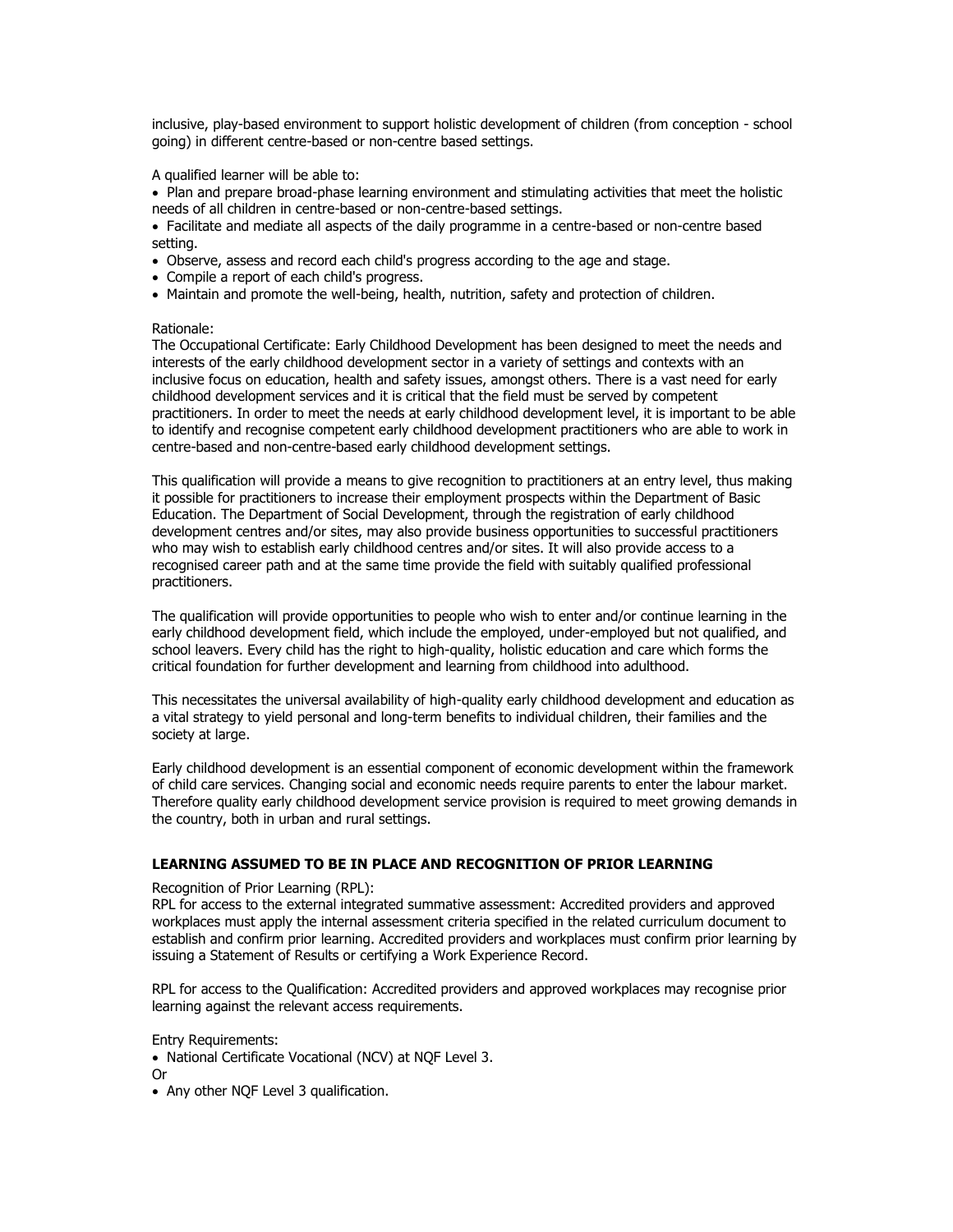inclusive, play-based environment to support holistic development of children (from conception - school going) in different centre-based or non-centre based settings.

A qualified learner will be able to:

• Plan and prepare broad-phase learning environment and stimulating activities that meet the holistic needs of all children in centre-based or non-centre-based settings.

• Facilitate and mediate all aspects of the daily programme in a centre-based or non-centre based setting.

- Observe, assess and record each child's progress according to the age and stage.
- Compile a report of each child's progress.
- Maintain and promote the well-being, health, nutrition, safety and protection of children.

#### Rationale:

The Occupational Certificate: Early Childhood Development has been designed to meet the needs and interests of the early childhood development sector in a variety of settings and contexts with an inclusive focus on education, health and safety issues, amongst others. There is a vast need for early childhood development services and it is critical that the field must be served by competent practitioners. In order to meet the needs at early childhood development level, it is important to be able to identify and recognise competent early childhood development practitioners who are able to work in centre-based and non-centre-based early childhood development settings.

This qualification will provide a means to give recognition to practitioners at an entry level, thus making it possible for practitioners to increase their employment prospects within the Department of Basic Education. The Department of Social Development, through the registration of early childhood development centres and/or sites, may also provide business opportunities to successful practitioners who may wish to establish early childhood centres and/or sites. It will also provide access to a recognised career path and at the same time provide the field with suitably qualified professional practitioners.

The qualification will provide opportunities to people who wish to enter and/or continue learning in the early childhood development field, which include the employed, under-employed but not qualified, and school leavers. Every child has the right to high-quality, holistic education and care which forms the critical foundation for further development and learning from childhood into adulthood.

This necessitates the universal availability of high-quality early childhood development and education as a vital strategy to yield personal and long-term benefits to individual children, their families and the society at large.

Early childhood development is an essential component of economic development within the framework of child care services. Changing social and economic needs require parents to enter the labour market. Therefore quality early childhood development service provision is required to meet growing demands in the country, both in urban and rural settings.

### **LEARNING ASSUMED TO BE IN PLACE AND RECOGNITION OF PRIOR LEARNING**

#### Recognition of Prior Learning (RPL):

RPL for access to the external integrated summative assessment: Accredited providers and approved workplaces must apply the internal assessment criteria specified in the related curriculum document to establish and confirm prior learning. Accredited providers and workplaces must confirm prior learning by issuing a Statement of Results or certifying a Work Experience Record.

RPL for access to the Qualification: Accredited providers and approved workplaces may recognise prior learning against the relevant access requirements.

Entry Requirements:

- National Certificate Vocational (NCV) at NQF Level 3.
- Or
- Any other NQF Level 3 qualification.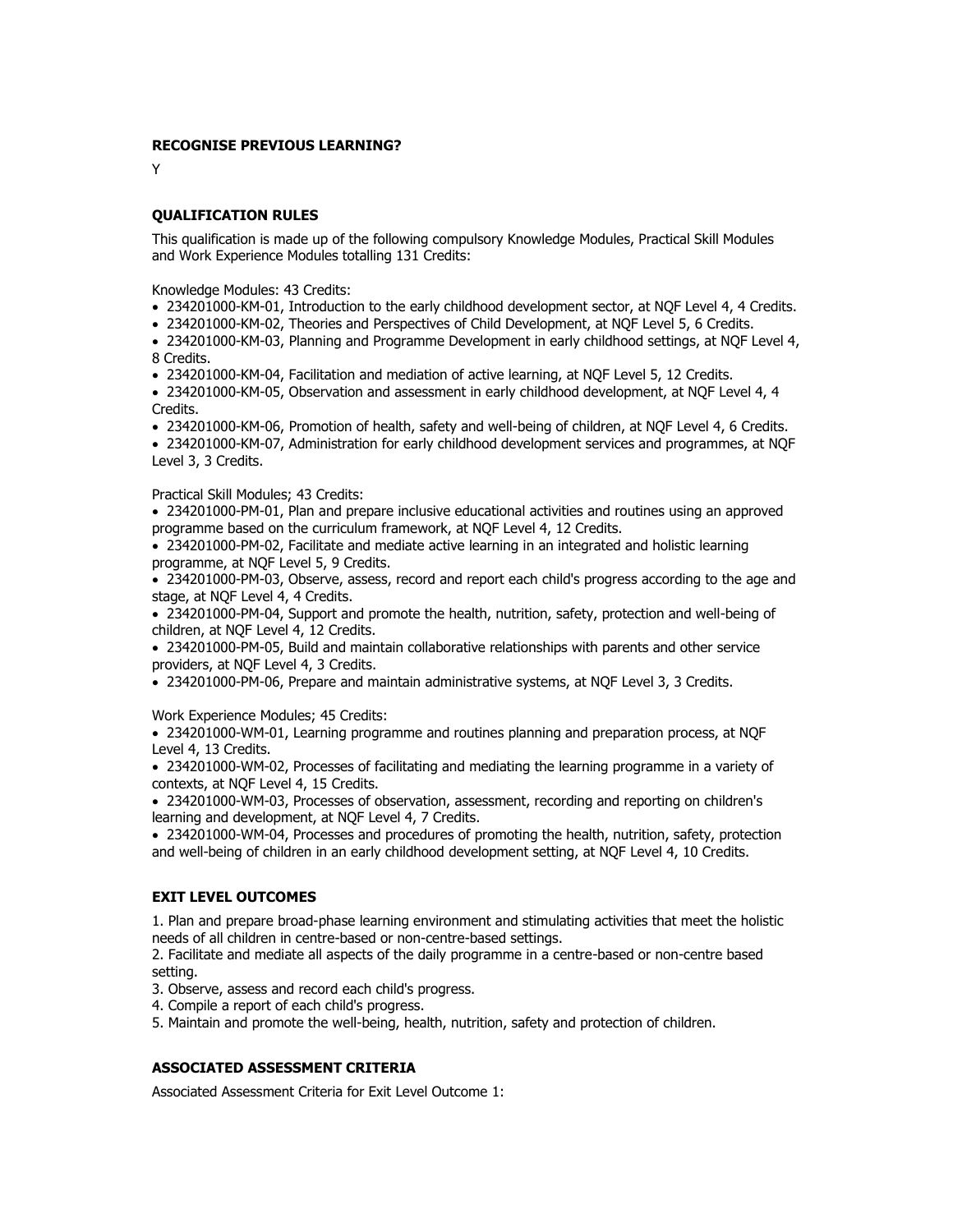### **RECOGNISE PREVIOUS LEARNING?**

Y

### **QUALIFICATION RULES**

This qualification is made up of the following compulsory Knowledge Modules, Practical Skill Modules and Work Experience Modules totalling 131 Credits:

Knowledge Modules: 43 Credits:

- 234201000-KM-01, Introduction to the early childhood development sector, at NQF Level 4, 4 Credits.
- 234201000-KM-02, Theories and Perspectives of Child Development, at NQF Level 5, 6 Credits.

• 234201000-KM-03, Planning and Programme Development in early childhood settings, at NQF Level 4, 8 Credits.

• 234201000-KM-04, Facilitation and mediation of active learning, at NQF Level 5, 12 Credits.

• 234201000-KM-05, Observation and assessment in early childhood development, at NQF Level 4, 4 Credits.

• 234201000-KM-06, Promotion of health, safety and well-being of children, at NQF Level 4, 6 Credits.

• 234201000-KM-07, Administration for early childhood development services and programmes, at NQF Level 3, 3 Credits.

#### Practical Skill Modules; 43 Credits:

• 234201000-PM-01, Plan and prepare inclusive educational activities and routines using an approved programme based on the curriculum framework, at NQF Level 4, 12 Credits.

• 234201000-PM-02, Facilitate and mediate active learning in an integrated and holistic learning programme, at NQF Level 5, 9 Credits.

• 234201000-PM-03, Observe, assess, record and report each child's progress according to the age and stage, at NQF Level 4, 4 Credits.

• 234201000-PM-04, Support and promote the health, nutrition, safety, protection and well-being of children, at NQF Level 4, 12 Credits.

• 234201000-PM-05, Build and maintain collaborative relationships with parents and other service providers, at NQF Level 4, 3 Credits.

• 234201000-PM-06, Prepare and maintain administrative systems, at NQF Level 3, 3 Credits.

Work Experience Modules; 45 Credits:

• 234201000-WM-01, Learning programme and routines planning and preparation process, at NQF Level 4, 13 Credits.

• 234201000-WM-02, Processes of facilitating and mediating the learning programme in a variety of contexts, at NQF Level 4, 15 Credits.

• 234201000-WM-03, Processes of observation, assessment, recording and reporting on children's learning and development, at NQF Level 4, 7 Credits.

• 234201000-WM-04, Processes and procedures of promoting the health, nutrition, safety, protection and well-being of children in an early childhood development setting, at NQF Level 4, 10 Credits.

## **EXIT LEVEL OUTCOMES**

1. Plan and prepare broad-phase learning environment and stimulating activities that meet the holistic needs of all children in centre-based or non-centre-based settings.

2. Facilitate and mediate all aspects of the daily programme in a centre-based or non-centre based setting.

3. Observe, assess and record each child's progress.

4. Compile a report of each child's progress.

5. Maintain and promote the well-being, health, nutrition, safety and protection of children.

### **ASSOCIATED ASSESSMENT CRITERIA**

Associated Assessment Criteria for Exit Level Outcome 1: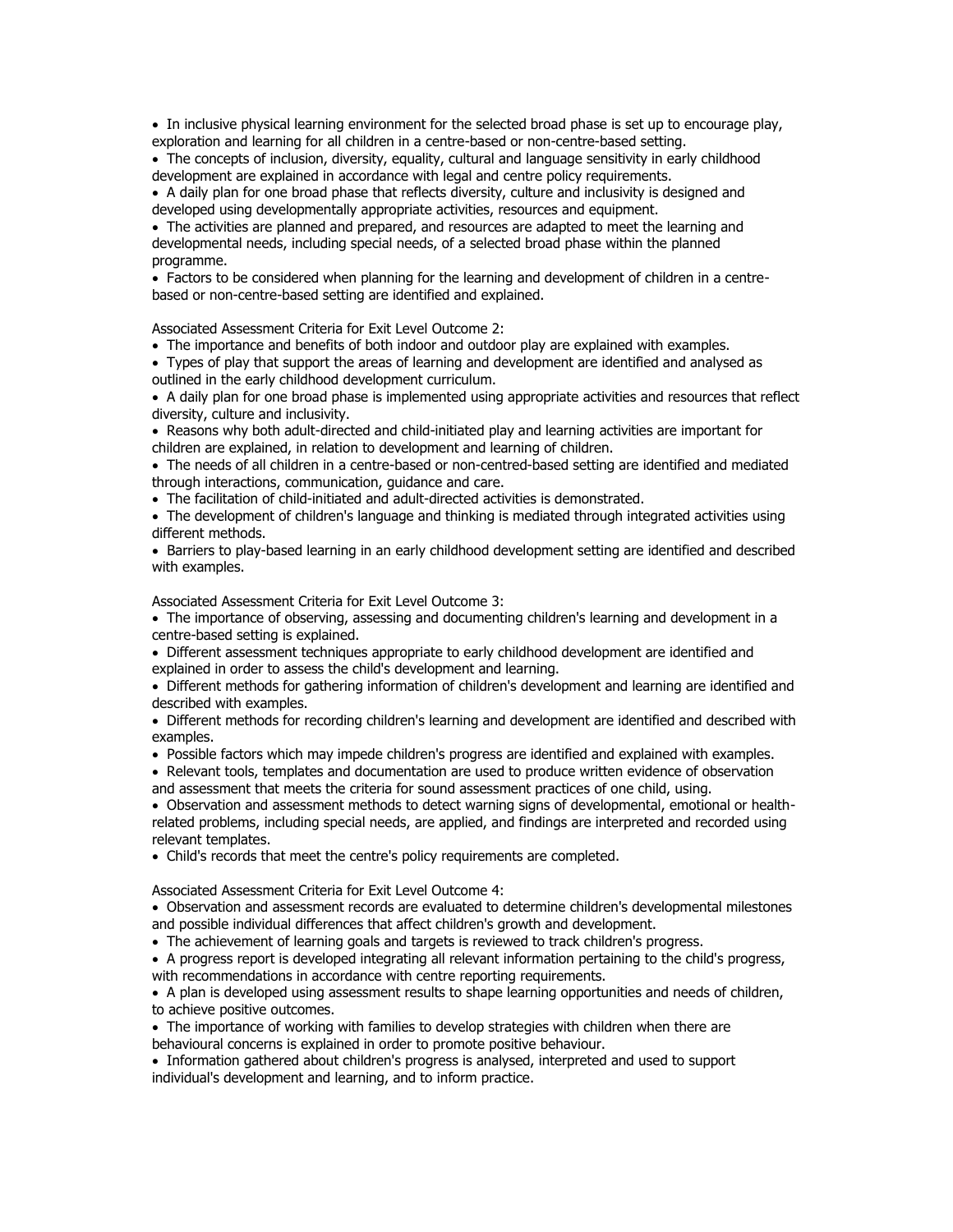• In inclusive physical learning environment for the selected broad phase is set up to encourage play, exploration and learning for all children in a centre-based or non-centre-based setting.

• The concepts of inclusion, diversity, equality, cultural and language sensitivity in early childhood development are explained in accordance with legal and centre policy requirements.

• A daily plan for one broad phase that reflects diversity, culture and inclusivity is designed and developed using developmentally appropriate activities, resources and equipment.

• The activities are planned and prepared, and resources are adapted to meet the learning and developmental needs, including special needs, of a selected broad phase within the planned programme.

• Factors to be considered when planning for the learning and development of children in a centrebased or non-centre-based setting are identified and explained.

Associated Assessment Criteria for Exit Level Outcome 2:

• The importance and benefits of both indoor and outdoor play are explained with examples.

• Types of play that support the areas of learning and development are identified and analysed as outlined in the early childhood development curriculum.

• A daily plan for one broad phase is implemented using appropriate activities and resources that reflect diversity, culture and inclusivity.

• Reasons why both adult-directed and child-initiated play and learning activities are important for children are explained, in relation to development and learning of children.

• The needs of all children in a centre-based or non-centred-based setting are identified and mediated through interactions, communication, guidance and care.

• The facilitation of child-initiated and adult-directed activities is demonstrated.

• The development of children's language and thinking is mediated through integrated activities using different methods.

• Barriers to play-based learning in an early childhood development setting are identified and described with examples.

Associated Assessment Criteria for Exit Level Outcome 3:

• The importance of observing, assessing and documenting children's learning and development in a centre-based setting is explained.

• Different assessment techniques appropriate to early childhood development are identified and explained in order to assess the child's development and learning.

• Different methods for gathering information of children's development and learning are identified and described with examples.

• Different methods for recording children's learning and development are identified and described with examples.

• Possible factors which may impede children's progress are identified and explained with examples.

• Relevant tools, templates and documentation are used to produce written evidence of observation and assessment that meets the criteria for sound assessment practices of one child, using.

• Observation and assessment methods to detect warning signs of developmental, emotional or healthrelated problems, including special needs, are applied, and findings are interpreted and recorded using relevant templates.

• Child's records that meet the centre's policy requirements are completed.

Associated Assessment Criteria for Exit Level Outcome 4:

• Observation and assessment records are evaluated to determine children's developmental milestones and possible individual differences that affect children's growth and development.

• The achievement of learning goals and targets is reviewed to track children's progress.

• A progress report is developed integrating all relevant information pertaining to the child's progress, with recommendations in accordance with centre reporting requirements.

• A plan is developed using assessment results to shape learning opportunities and needs of children, to achieve positive outcomes.

• The importance of working with families to develop strategies with children when there are behavioural concerns is explained in order to promote positive behaviour.

• Information gathered about children's progress is analysed, interpreted and used to support individual's development and learning, and to inform practice.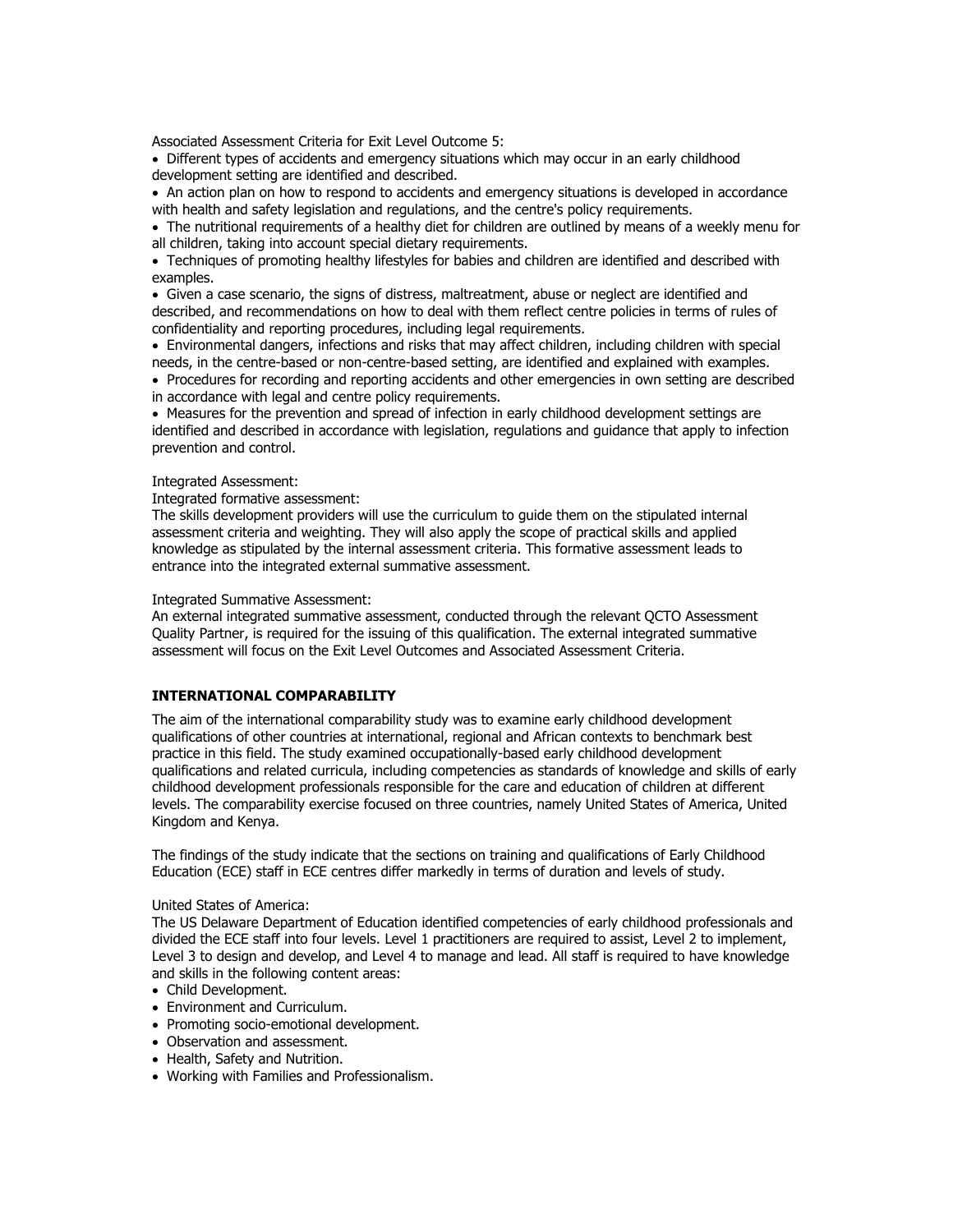Associated Assessment Criteria for Exit Level Outcome 5:

• Different types of accidents and emergency situations which may occur in an early childhood development setting are identified and described.

• An action plan on how to respond to accidents and emergency situations is developed in accordance with health and safety legislation and regulations, and the centre's policy requirements.

• The nutritional requirements of a healthy diet for children are outlined by means of a weekly menu for all children, taking into account special dietary requirements.

• Techniques of promoting healthy lifestyles for babies and children are identified and described with examples.

• Given a case scenario, the signs of distress, maltreatment, abuse or neglect are identified and described, and recommendations on how to deal with them reflect centre policies in terms of rules of confidentiality and reporting procedures, including legal requirements.

• Environmental dangers, infections and risks that may affect children, including children with special needs, in the centre-based or non-centre-based setting, are identified and explained with examples.

• Procedures for recording and reporting accidents and other emergencies in own setting are described in accordance with legal and centre policy requirements.

• Measures for the prevention and spread of infection in early childhood development settings are identified and described in accordance with legislation, regulations and guidance that apply to infection prevention and control.

Integrated Assessment:

Integrated formative assessment:

The skills development providers will use the curriculum to guide them on the stipulated internal assessment criteria and weighting. They will also apply the scope of practical skills and applied knowledge as stipulated by the internal assessment criteria. This formative assessment leads to entrance into the integrated external summative assessment.

Integrated Summative Assessment:

An external integrated summative assessment, conducted through the relevant QCTO Assessment Quality Partner, is required for the issuing of this qualification. The external integrated summative assessment will focus on the Exit Level Outcomes and Associated Assessment Criteria.

## **INTERNATIONAL COMPARABILITY**

The aim of the international comparability study was to examine early childhood development qualifications of other countries at international, regional and African contexts to benchmark best practice in this field. The study examined occupationally-based early childhood development qualifications and related curricula, including competencies as standards of knowledge and skills of early childhood development professionals responsible for the care and education of children at different levels. The comparability exercise focused on three countries, namely United States of America, United Kingdom and Kenya.

The findings of the study indicate that the sections on training and qualifications of Early Childhood Education (ECE) staff in ECE centres differ markedly in terms of duration and levels of study.

### United States of America:

The US Delaware Department of Education identified competencies of early childhood professionals and divided the ECE staff into four levels. Level 1 practitioners are required to assist, Level 2 to implement, Level 3 to design and develop, and Level 4 to manage and lead. All staff is required to have knowledge and skills in the following content areas:

- Child Development.
- Environment and Curriculum.
- Promoting socio-emotional development.
- Observation and assessment.
- Health, Safety and Nutrition.
- Working with Families and Professionalism.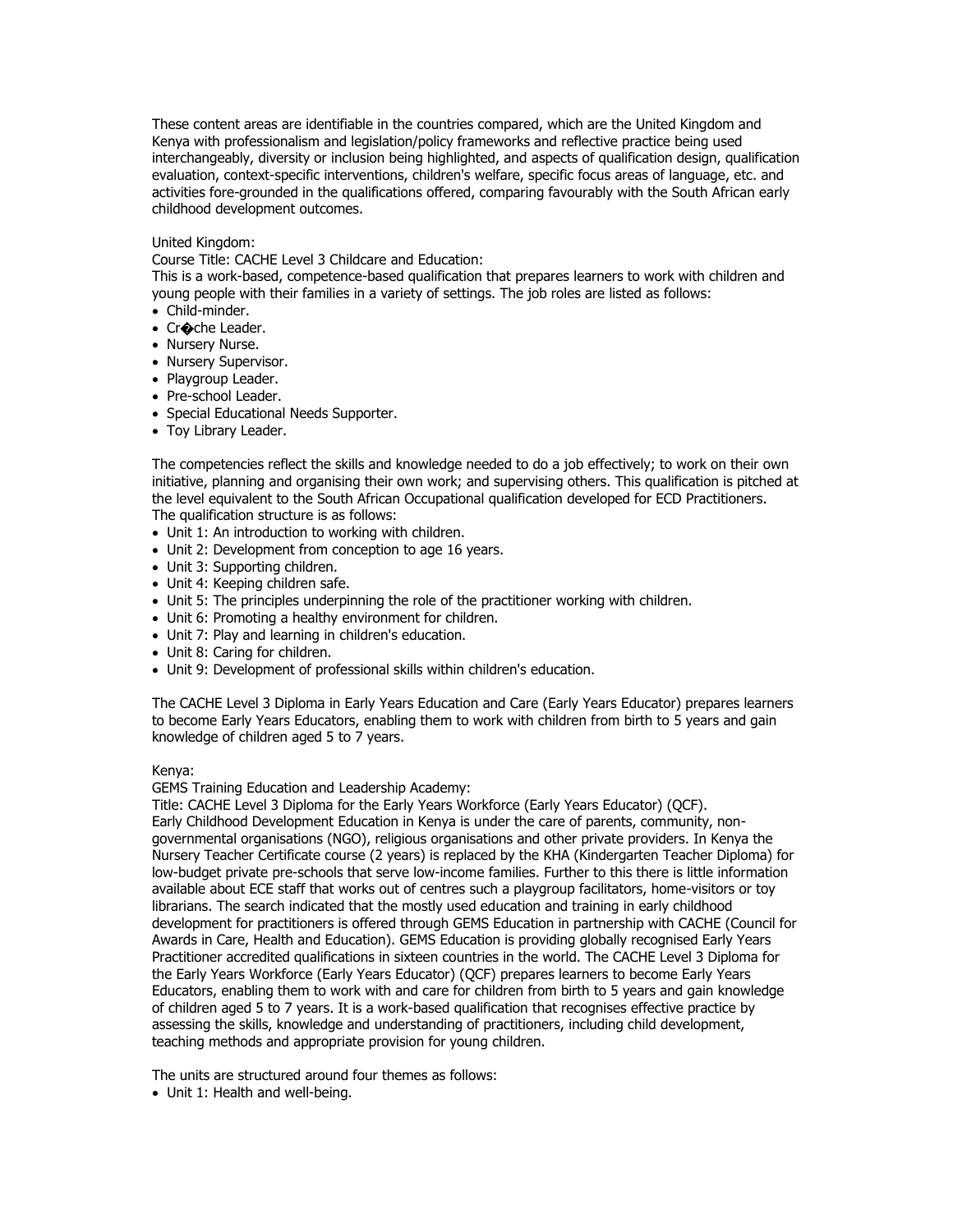These content areas are identifiable in the countries compared, which are the United Kingdom and Kenya with professionalism and legislation/policy frameworks and reflective practice being used interchangeably, diversity or inclusion being highlighted, and aspects of qualification design, qualification evaluation, context-specific interventions, children's welfare, specific focus areas of language, etc. and activities fore-grounded in the qualifications offered, comparing favourably with the South African early childhood development outcomes.

### United Kingdom:

Course Title: CACHE Level 3 Childcare and Education:

This is a work-based, competence-based qualification that prepares learners to work with children and young people with their families in a variety of settings. The job roles are listed as follows:

- Child-minder.
- Cr�che Leader.
- Nursery Nurse.
- Nursery Supervisor.
- Playgroup Leader.
- Pre-school Leader.
- Special Educational Needs Supporter.
- Toy Library Leader.

The competencies reflect the skills and knowledge needed to do a job effectively; to work on their own initiative, planning and organising their own work; and supervising others. This qualification is pitched at the level equivalent to the South African Occupational qualification developed for ECD Practitioners. The qualification structure is as follows:

- Unit 1: An introduction to working with children.
- Unit 2: Development from conception to age 16 years.
- Unit 3: Supporting children.
- Unit 4: Keeping children safe.
- Unit 5: The principles underpinning the role of the practitioner working with children.
- Unit 6: Promoting a healthy environment for children.
- Unit 7: Play and learning in children's education.
- Unit 8: Caring for children.
- Unit 9: Development of professional skills within children's education.

The CACHE Level 3 Diploma in Early Years Education and Care (Early Years Educator) prepares learners to become Early Years Educators, enabling them to work with children from birth to 5 years and gain knowledge of children aged 5 to 7 years.

#### Kenya:

GEMS Training Education and Leadership Academy:

Title: CACHE Level 3 Diploma for the Early Years Workforce (Early Years Educator) (QCF). Early Childhood Development Education in Kenya is under the care of parents, community, nongovernmental organisations (NGO), religious organisations and other private providers. In Kenya the Nursery Teacher Certificate course (2 years) is replaced by the KHA (Kindergarten Teacher Diploma) for low-budget private pre-schools that serve low-income families. Further to this there is little information available about ECE staff that works out of centres such a playgroup facilitators, home-visitors or toy librarians. The search indicated that the mostly used education and training in early childhood development for practitioners is offered through GEMS Education in partnership with CACHE (Council for Awards in Care, Health and Education). GEMS Education is providing globally recognised Early Years Practitioner accredited qualifications in sixteen countries in the world. The CACHE Level 3 Diploma for the Early Years Workforce (Early Years Educator) (QCF) prepares learners to become Early Years Educators, enabling them to work with and care for children from birth to 5 years and gain knowledge of children aged 5 to 7 years. It is a work-based qualification that recognises effective practice by assessing the skills, knowledge and understanding of practitioners, including child development, teaching methods and appropriate provision for young children.

The units are structured around four themes as follows:

• Unit 1: Health and well-being.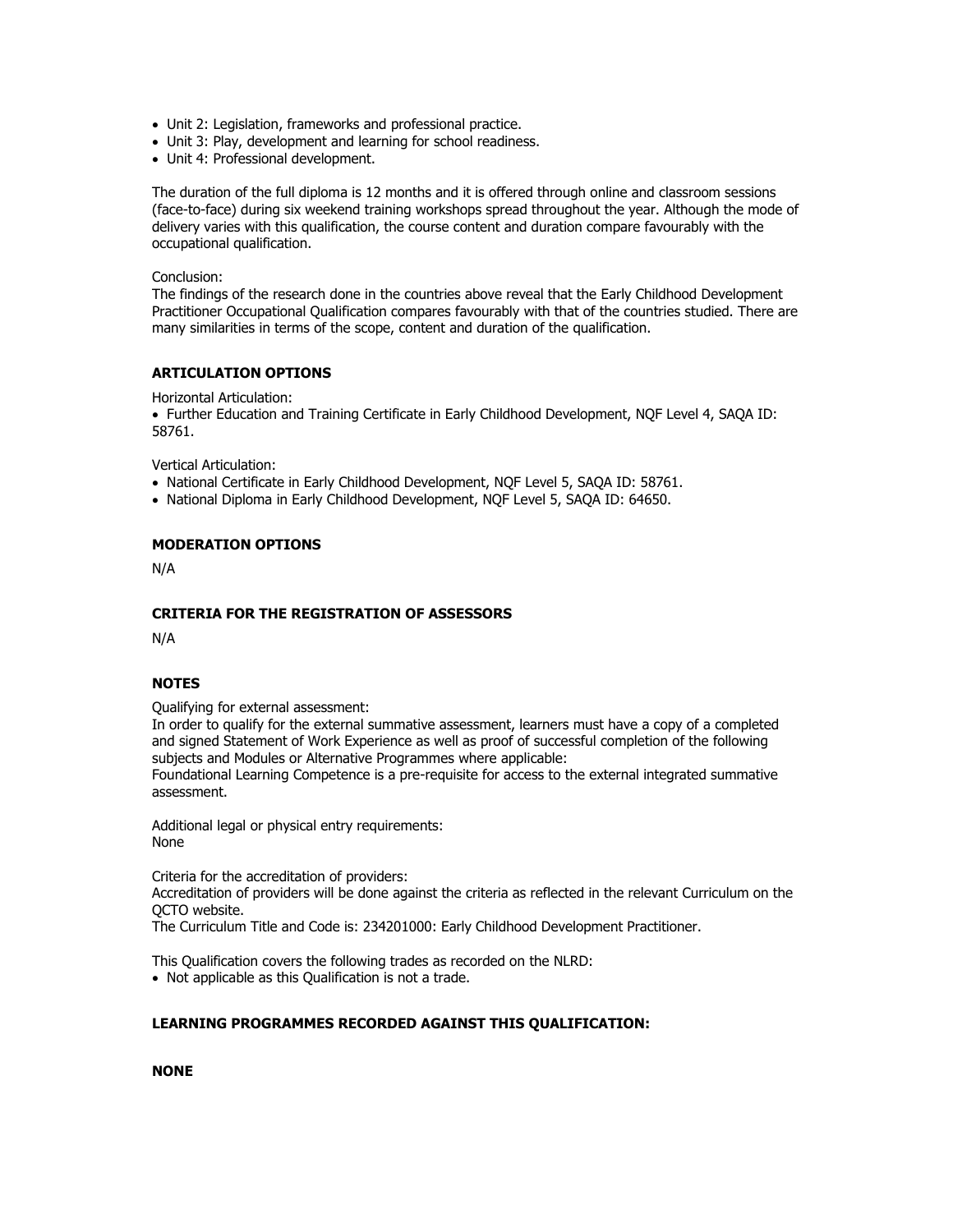- Unit 2: Legislation, frameworks and professional practice.
- Unit 3: Play, development and learning for school readiness.
- Unit 4: Professional development.

The duration of the full diploma is 12 months and it is offered through online and classroom sessions (face-to-face) during six weekend training workshops spread throughout the year. Although the mode of delivery varies with this qualification, the course content and duration compare favourably with the occupational qualification.

### Conclusion:

The findings of the research done in the countries above reveal that the Early Childhood Development Practitioner Occupational Qualification compares favourably with that of the countries studied. There are many similarities in terms of the scope, content and duration of the qualification.

## **ARTICULATION OPTIONS**

Horizontal Articulation:

• Further Education and Training Certificate in Early Childhood Development, NQF Level 4, SAQA ID: 58761.

Vertical Articulation:

- National Certificate in Early Childhood Development, NQF Level 5, SAQA ID: 58761.
- National Diploma in Early Childhood Development, NQF Level 5, SAQA ID: 64650.

## **MODERATION OPTIONS**

N/A

## **CRITERIA FOR THE REGISTRATION OF ASSESSORS**

N/A

## **NOTES**

Qualifying for external assessment:

In order to qualify for the external summative assessment, learners must have a copy of a completed and signed Statement of Work Experience as well as proof of successful completion of the following subjects and Modules or Alternative Programmes where applicable:

Foundational Learning Competence is a pre-requisite for access to the external integrated summative assessment.

Additional legal or physical entry requirements: None

Criteria for the accreditation of providers:

Accreditation of providers will be done against the criteria as reflected in the relevant Curriculum on the QCTO website.

The Curriculum Title and Code is: 234201000: Early Childhood Development Practitioner.

This Qualification covers the following trades as recorded on the NLRD:

• Not applicable as this Qualification is not a trade.

## **LEARNING PROGRAMMES RECORDED AGAINST THIS QUALIFICATION:**

**NONE**